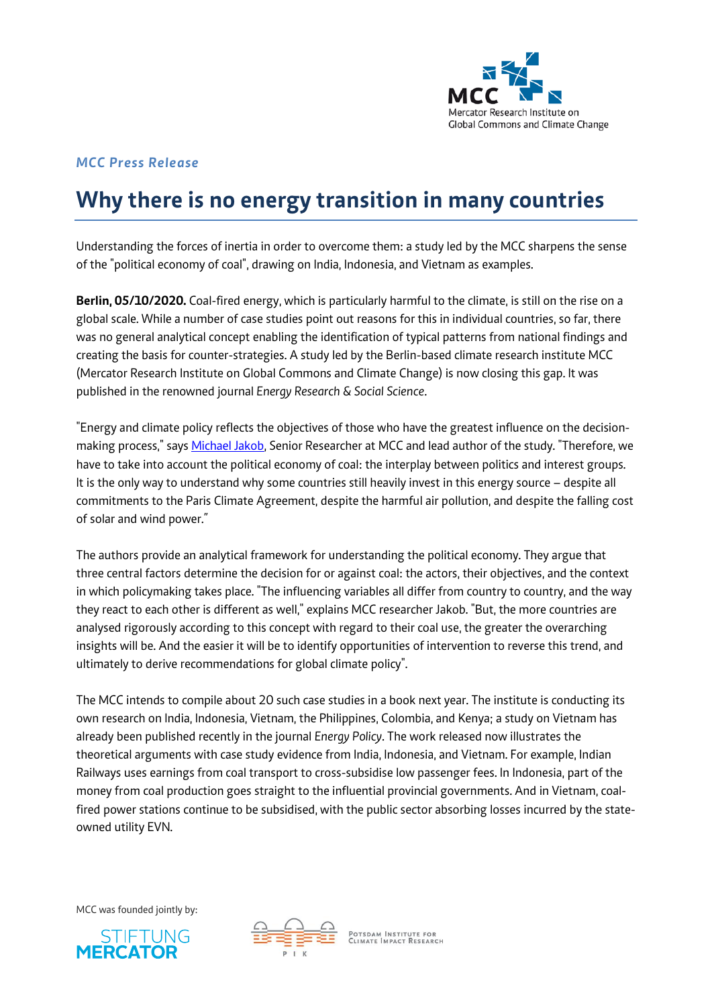

## *MCC Press Release*

# **Why there is no energy transition in many countries**

Understanding the forces of inertia in order to overcome them: a study led by the MCC sharpens the sense of the "political economy of coal", drawing on India, Indonesia, and Vietnam as examples.

**Berlin, 05/10/2020.** Coal-fired energy, which is particularly harmful to the climate, is still on the rise on a global scale. While a number of case studies point out reasons for this in individual countries, so far, there was no general analytical concept enabling the identification of typical patterns from national findings and creating the basis for counter-strategies. A study led by the Berlin-based climate research institute MCC (Mercator Research Institute on Global Commons and Climate Change) is now closing this gap. It was published in the renowned journal *Energy Research & Social Science*.

"Energy and climate policy reflects the objectives of those who have the greatest influence on the decisionmaking process," says [Michael Jakob,](https://www.mcc-berlin.net/en/about/team/jakob-michael.html) Senior Researcher at MCC and lead author of the study. "Therefore, we have to take into account the political economy of coal: the interplay between politics and interest groups. It is the only way to understand why some countries still heavily invest in this energy source – despite all commitments to the Paris Climate Agreement, despite the harmful air pollution, and despite the falling cost of solar and wind power."

The authors provide an analytical framework for understanding the political economy. They argue that three central factors determine the decision for or against coal: the actors, their objectives, and the context in which policymaking takes place. "The influencing variables all differ from country to country, and the way they react to each other is different as well," explains MCC researcher Jakob. "But, the more countries are analysed rigorously according to this concept with regard to their coal use, the greater the overarching insights will be. And the easier it will be to identify opportunities of intervention to reverse this trend, and ultimately to derive recommendations for global climate policy".

The MCC intends to compile about 20 such case studies in a book next year. The institute is conducting its own research on India, Indonesia, Vietnam, the Philippines, Colombia, and Kenya; a study on Vietnam has already been published recently in the journal *Energy Policy*. The work released now illustrates the theoretical arguments with case study evidence from India, Indonesia, and Vietnam. For example, Indian Railways uses earnings from coal transport to cross-subsidise low passenger fees. In Indonesia, part of the money from coal production goes straight to the influential provincial governments. And in Vietnam, coalfired power stations continue to be subsidised, with the public sector absorbing losses incurred by the stateowned utility EVN.

MCC was founded jointly by:





POTSDAM INSTITUTE FOR<br>CLIMATE IMPACT RESEARCH